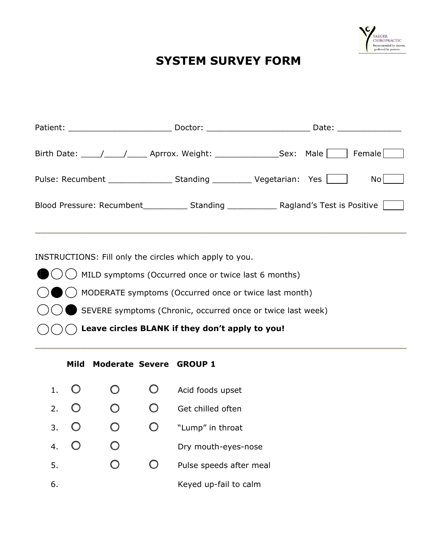

## **SYSTEM SURVEY FORM**

|                                           | Doctor: _________________________ | Date: ________________ |
|-------------------------------------------|-----------------------------------|------------------------|
| Birth Date: ( ) Aprrox. Weight: Sex: Male |                                   | Female                 |
|                                           |                                   | Nol                    |
|                                           |                                   |                        |

INSTRUCTIONS: Fill only the circles which apply to you.

- $\bigcirc$  MILD symptoms (Occurred once or twice last 6 months)
	- A MODERATE symptoms (Occurred once or twice last month)
	- SEVERE symptoms (Chronic, occurred once or twice last week)
	- Leave circles BLANK if they don't apply to you!

## Mild Moderate Severe GROUP 1

- $\bigcirc$  $\bigcirc$  $\bigcirc$  $1.$ Acid foods upset
- $\bigcirc$  $2.$  $\bigcirc$  $\bigcirc$ Get chilled often

6.

- $\bigcirc$  $\bigcirc$  $\bigcirc$  $3.$ "Lump" in throat
- $4.$  $\bigcirc$  $\bigcirc$ Dry mouth-eyes-nose
- $\bigcirc$ 5.  $\bigcirc$ Pulse speeds after meal
	- Keyed up-fail to calm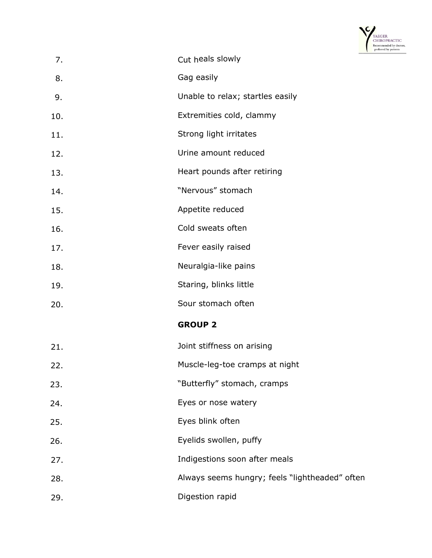

| 7.  | Cut heals slowly                               |
|-----|------------------------------------------------|
| 8.  | Gag easily                                     |
| 9.  | Unable to relax; startles easily               |
| 10. | Extremities cold, clammy                       |
| 11. | Strong light irritates                         |
| 12. | Urine amount reduced                           |
| 13. | Heart pounds after retiring                    |
| 14. | "Nervous" stomach                              |
| 15. | Appetite reduced                               |
| 16. | Cold sweats often                              |
| 17. | Fever easily raised                            |
| 18. | Neuralgia-like pains                           |
| 19. | Staring, blinks little                         |
| 20. | Sour stomach often                             |
|     | <b>GROUP 2</b>                                 |
| 21. | Joint stiffness on arising                     |
| 22. | Muscle-leg-toe cramps at night                 |
| 23. | "Butterfly" stomach, cramps                    |
| 24. | Eyes or nose watery                            |
| 25. | Eyes blink often                               |
| 26. | Eyelids swollen, puffy                         |
| 27. | Indigestions soon after meals                  |
| 28. | Always seems hungry; feels "lightheaded" often |
| 29. | Digestion rapid                                |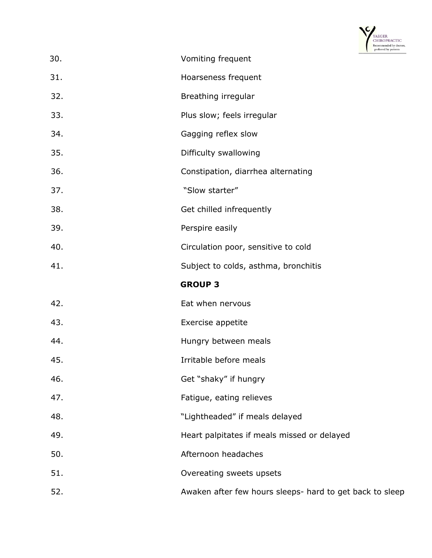

|     | Recommended by doctors,<br>preferred by patients         |  |
|-----|----------------------------------------------------------|--|
| 30. | Vomiting frequent                                        |  |
| 31. | Hoarseness frequent                                      |  |
| 32. | Breathing irregular                                      |  |
| 33. | Plus slow; feels irregular                               |  |
| 34. | Gagging reflex slow                                      |  |
| 35. | Difficulty swallowing                                    |  |
| 36. | Constipation, diarrhea alternating                       |  |
| 37. | "Slow starter"                                           |  |
| 38. | Get chilled infrequently                                 |  |
| 39. | Perspire easily                                          |  |
| 40. | Circulation poor, sensitive to cold                      |  |
| 41. | Subject to colds, asthma, bronchitis                     |  |
|     | <b>GROUP 3</b>                                           |  |
| 42. | Eat when nervous                                         |  |
| 43. | Exercise appetite                                        |  |
| 44. | Hungry between meals                                     |  |
| 45. | Irritable before meals                                   |  |
| 46. | Get "shaky" if hungry                                    |  |
| 47. | Fatigue, eating relieves                                 |  |
| 48. | "Lightheaded" if meals delayed                           |  |
| 49. | Heart palpitates if meals missed or delayed              |  |
| 50. | Afternoon headaches                                      |  |
| 51. | Overeating sweets upsets                                 |  |
| 52. | Awaken after few hours sleeps- hard to get back to sleep |  |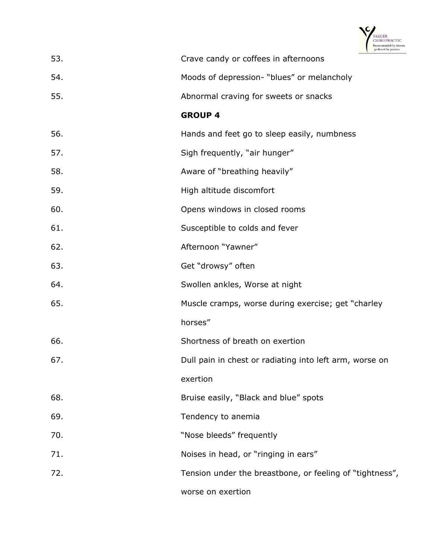

|     | preferred by patients                                    |
|-----|----------------------------------------------------------|
| 53. | Crave candy or coffees in afternoons                     |
| 54. | Moods of depression- "blues" or melancholy               |
| 55. | Abnormal craving for sweets or snacks                    |
|     | <b>GROUP 4</b>                                           |
| 56. | Hands and feet go to sleep easily, numbness              |
| 57. | Sigh frequently, "air hunger"                            |
| 58. | Aware of "breathing heavily"                             |
| 59. | High altitude discomfort                                 |
| 60. | Opens windows in closed rooms                            |
| 61. | Susceptible to colds and fever                           |
| 62. | Afternoon "Yawner"                                       |
| 63. | Get "drowsy" often                                       |
| 64. | Swollen ankles, Worse at night                           |
| 65. | Muscle cramps, worse during exercise; get "charley       |
|     | horses"                                                  |
| 66. | Shortness of breath on exertion                          |
| 67. | Dull pain in chest or radiating into left arm, worse on  |
|     | exertion                                                 |
| 68. | Bruise easily, "Black and blue" spots                    |
| 69. | Tendency to anemia                                       |
| 70. | "Nose bleeds" frequently                                 |
| 71. | Noises in head, or "ringing in ears"                     |
| 72. | Tension under the breastbone, or feeling of "tightness", |
|     | worse on exertion                                        |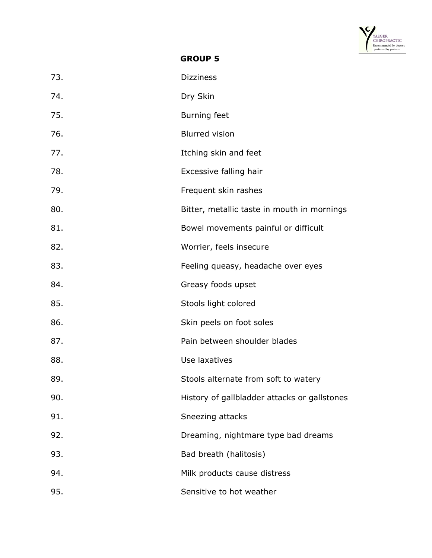

**GROUP 5** 

| 73. | <b>Dizziness</b>                             |
|-----|----------------------------------------------|
| 74. | Dry Skin                                     |
| 75. | <b>Burning feet</b>                          |
| 76. | <b>Blurred vision</b>                        |
| 77. | Itching skin and feet                        |
| 78. | Excessive falling hair                       |
| 79. | Frequent skin rashes                         |
| 80. | Bitter, metallic taste in mouth in mornings  |
| 81. | Bowel movements painful or difficult         |
| 82. | Worrier, feels insecure                      |
| 83. | Feeling queasy, headache over eyes           |
| 84. | Greasy foods upset                           |
| 85. | Stools light colored                         |
| 86. | Skin peels on foot soles                     |
| 87. | Pain between shoulder blades                 |
| 88. | Use laxatives                                |
| 89. | Stools alternate from soft to watery         |
| 90. | History of gallbladder attacks or gallstones |
| 91. | Sneezing attacks                             |
| 92. | Dreaming, nightmare type bad dreams          |
| 93. | Bad breath (halitosis)                       |
| 94. | Milk products cause distress                 |
| 95. | Sensitive to hot weather                     |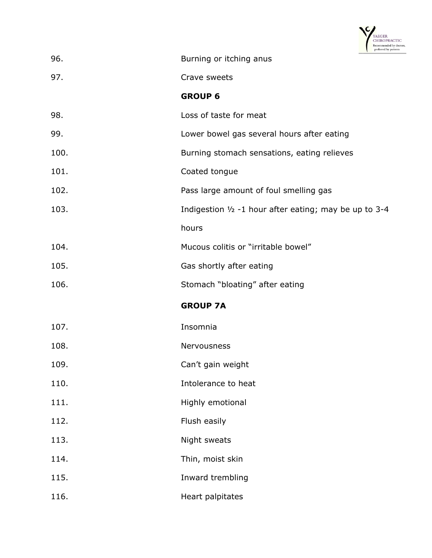

| 96.  | Burning or itching anus                                  |  |
|------|----------------------------------------------------------|--|
| 97.  | Crave sweets                                             |  |
|      | <b>GROUP 6</b>                                           |  |
| 98.  | Loss of taste for meat                                   |  |
| 99.  | Lower bowel gas several hours after eating               |  |
| 100. | Burning stomach sensations, eating relieves              |  |
| 101. | Coated tongue                                            |  |
| 102. | Pass large amount of foul smelling gas                   |  |
| 103. | Indigestion $1/2$ -1 hour after eating; may be up to 3-4 |  |
|      | hours                                                    |  |
| 104. | Mucous colitis or "irritable bowel"                      |  |
| 105. | Gas shortly after eating                                 |  |
| 106. | Stomach "bloating" after eating                          |  |
|      | <b>GROUP 7A</b>                                          |  |
| 107. | Insomnia                                                 |  |
| 108. | Nervousness                                              |  |
| 109. | Can't gain weight                                        |  |
| 110. | Intolerance to heat                                      |  |
| 111. | Highly emotional                                         |  |
| 112. | Flush easily                                             |  |
| 113. | Night sweats                                             |  |
| 114. | Thin, moist skin                                         |  |
| 115. | Inward trembling                                         |  |
| 116. | Heart palpitates                                         |  |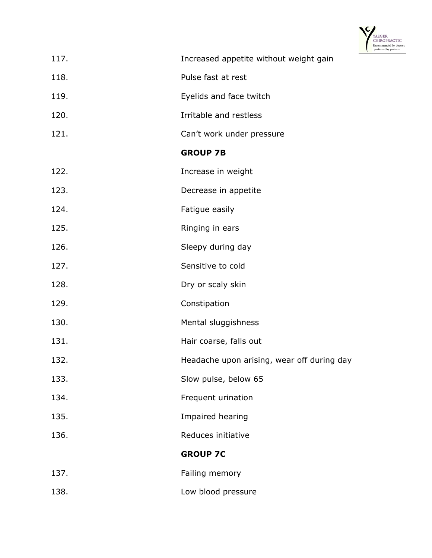

| 117. | Increased appetite without weight gain     |
|------|--------------------------------------------|
| 118. | Pulse fast at rest                         |
| 119. | Eyelids and face twitch                    |
| 120. | Irritable and restless                     |
| 121. | Can't work under pressure                  |
|      | <b>GROUP 7B</b>                            |
| 122. | Increase in weight                         |
| 123. | Decrease in appetite                       |
| 124. | Fatigue easily                             |
| 125. | Ringing in ears                            |
| 126. | Sleepy during day                          |
| 127. | Sensitive to cold                          |
| 128. | Dry or scaly skin                          |
| 129. | Constipation                               |
| 130. | Mental sluggishness                        |
| 131. | Hair coarse, falls out                     |
| 132. | Headache upon arising, wear off during day |
| 133. | Slow pulse, below 65                       |
| 134. | Frequent urination                         |
| 135. | Impaired hearing                           |
| 136. | Reduces initiative                         |
|      | <b>GROUP 7C</b>                            |
| 137. | Failing memory                             |
| 138. | Low blood pressure                         |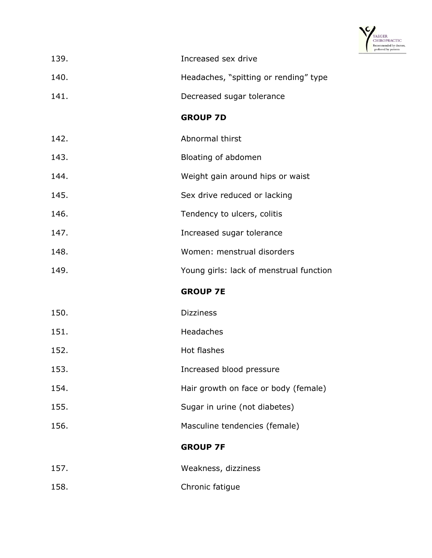

| 139. | Increased sex drive                     |
|------|-----------------------------------------|
| 140. | Headaches, "spitting or rending" type   |
| 141. | Decreased sugar tolerance               |
|      | <b>GROUP 7D</b>                         |
| 142. | Abnormal thirst                         |
| 143. | Bloating of abdomen                     |
| 144. | Weight gain around hips or waist        |
| 145. | Sex drive reduced or lacking            |
| 146. | Tendency to ulcers, colitis             |
| 147. | Increased sugar tolerance               |
| 148. | Women: menstrual disorders              |
| 149. | Young girls: lack of menstrual function |
|      | <b>GROUP 7E</b>                         |
| 150. | <b>Dizziness</b>                        |
| 151. | Headaches                               |
| 152. | Hot flashes                             |
| 153. | Increased blood pressure                |
| 154. | Hair growth on face or body (female)    |
| 155. | Sugar in urine (not diabetes)           |
| 156. | Masculine tendencies (female)           |
|      | <b>GROUP 7F</b>                         |
| 157. | Weakness, dizziness                     |
| 158. | Chronic fatigue                         |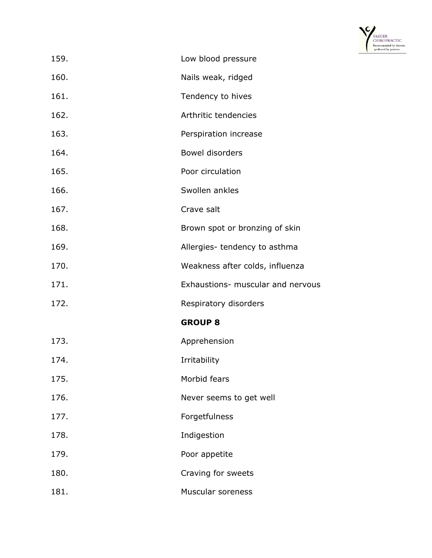

| 159. | Low blood pressure                |
|------|-----------------------------------|
| 160. | Nails weak, ridged                |
| 161. | Tendency to hives                 |
| 162. | Arthritic tendencies              |
| 163. | Perspiration increase             |
| 164. | <b>Bowel disorders</b>            |
| 165. | Poor circulation                  |
| 166. | Swollen ankles                    |
| 167. | Crave salt                        |
| 168. | Brown spot or bronzing of skin    |
| 169. | Allergies- tendency to asthma     |
| 170. | Weakness after colds, influenza   |
| 171. | Exhaustions- muscular and nervous |
| 172. | Respiratory disorders             |
|      | <b>GROUP 8</b>                    |
| 173. | Apprehension                      |
| 174. | Irritability                      |
| 175. | Morbid fears                      |
| 176. | Never seems to get well           |
| 177. | Forgetfulness                     |
| 178. | Indigestion                       |
| 179. | Poor appetite                     |
| 180. | Craving for sweets                |
| 181. | Muscular soreness                 |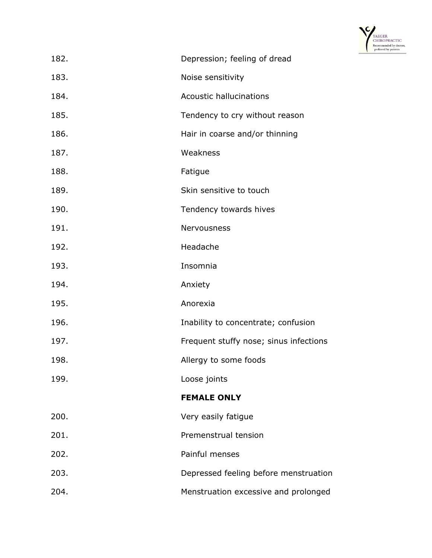

| 182. | Depression; feeling of dread           |
|------|----------------------------------------|
|      |                                        |
| 183. | Noise sensitivity                      |
| 184. | <b>Acoustic hallucinations</b>         |
| 185. | Tendency to cry without reason         |
| 186. | Hair in coarse and/or thinning         |
| 187. | Weakness                               |
| 188. | Fatigue                                |
| 189. | Skin sensitive to touch                |
| 190. | Tendency towards hives                 |
| 191. | Nervousness                            |
| 192. | Headache                               |
| 193. | Insomnia                               |
| 194. | Anxiety                                |
| 195. | Anorexia                               |
| 196. | Inability to concentrate; confusion    |
| 197. | Frequent stuffy nose; sinus infections |
| 198. | Allergy to some foods                  |
| 199. | Loose joints                           |
|      | <b>FEMALE ONLY</b>                     |
| 200. | Very easily fatigue                    |
| 201. | Premenstrual tension                   |
| 202. | Painful menses                         |
| 203. | Depressed feeling before menstruation  |
| 204. | Menstruation excessive and prolonged   |
|      |                                        |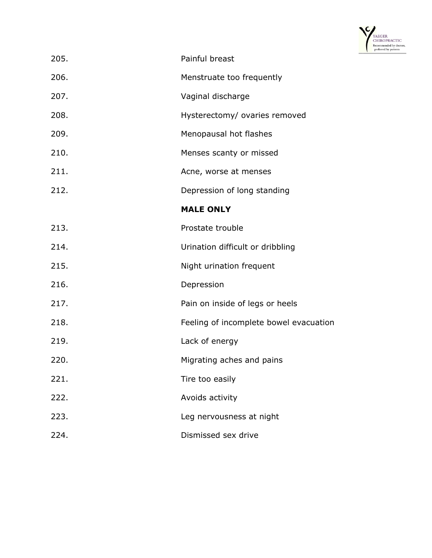

| 205. | Painful breast                         |
|------|----------------------------------------|
| 206. | Menstruate too frequently              |
| 207. | Vaginal discharge                      |
| 208. | Hysterectomy/ ovaries removed          |
| 209. | Menopausal hot flashes                 |
| 210. | Menses scanty or missed                |
| 211. | Acne, worse at menses                  |
| 212. | Depression of long standing            |
|      | <b>MALE ONLY</b>                       |
| 213. | Prostate trouble                       |
| 214. | Urination difficult or dribbling       |
| 215. | Night urination frequent               |
| 216. | Depression                             |
| 217. | Pain on inside of legs or heels        |
| 218. | Feeling of incomplete bowel evacuation |
| 219. | Lack of energy                         |
| 220. | Migrating aches and pains              |
| 221. | Tire too easily                        |
| 222. | Avoids activity                        |
| 223. | Leg nervousness at night               |
| 224. | Dismissed sex drive                    |